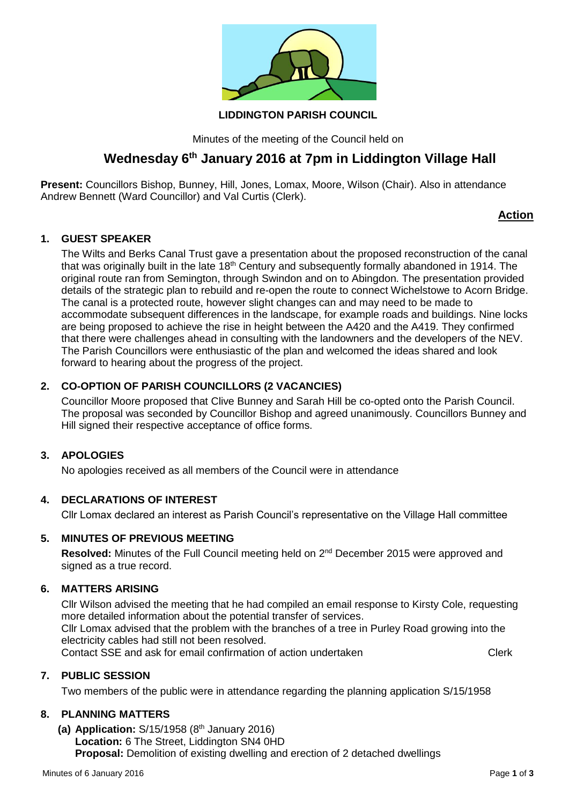

## **LIDDINGTON PARISH COUNCIL**

Minutes of the meeting of the Council held on

# **Wednesday 6th January 2016 at 7pm in Liddington Village Hall**

**Present:** Councillors Bishop, Bunney, Hill, Jones, Lomax, Moore, Wilson (Chair). Also in attendance Andrew Bennett (Ward Councillor) and Val Curtis (Clerk).

# **Action**

## **1. GUEST SPEAKER**

The Wilts and Berks Canal Trust gave a presentation about the proposed reconstruction of the canal that was originally built in the late 18<sup>th</sup> Century and subsequently formally abandoned in 1914. The original route ran from Semington, through Swindon and on to Abingdon. The presentation provided details of the strategic plan to rebuild and re-open the route to connect Wichelstowe to Acorn Bridge. The canal is a protected route, however slight changes can and may need to be made to accommodate subsequent differences in the landscape, for example roads and buildings. Nine locks are being proposed to achieve the rise in height between the A420 and the A419. They confirmed that there were challenges ahead in consulting with the landowners and the developers of the NEV. The Parish Councillors were enthusiastic of the plan and welcomed the ideas shared and look forward to hearing about the progress of the project.

# **2. CO-OPTION OF PARISH COUNCILLORS (2 VACANCIES)**

Councillor Moore proposed that Clive Bunney and Sarah Hill be co-opted onto the Parish Council. The proposal was seconded by Councillor Bishop and agreed unanimously. Councillors Bunney and Hill signed their respective acceptance of office forms.

## **3. APOLOGIES**

No apologies received as all members of the Council were in attendance

## **4. DECLARATIONS OF INTEREST**

Cllr Lomax declared an interest as Parish Council's representative on the Village Hall committee

## **5. MINUTES OF PREVIOUS MEETING**

Resolved: Minutes of the Full Council meeting held on 2<sup>nd</sup> December 2015 were approved and signed as a true record.

## **6. MATTERS ARISING**

Cllr Wilson advised the meeting that he had compiled an email response to Kirsty Cole, requesting more detailed information about the potential transfer of services. Cllr Lomax advised that the problem with the branches of a tree in Purley Road growing into the electricity cables had still not been resolved.

Contact SSE and ask for email confirmation of action undertaken **CONCOLL CONCOLL** Clerk

# **7. PUBLIC SESSION**

Two members of the public were in attendance regarding the planning application S/15/1958

## **8. PLANNING MATTERS**

**(a) Application:** S/15/1958 (8 th January 2016) **Location:** 6 The Street, Liddington SN4 0HD **Proposal:** Demolition of existing dwelling and erection of 2 detached dwellings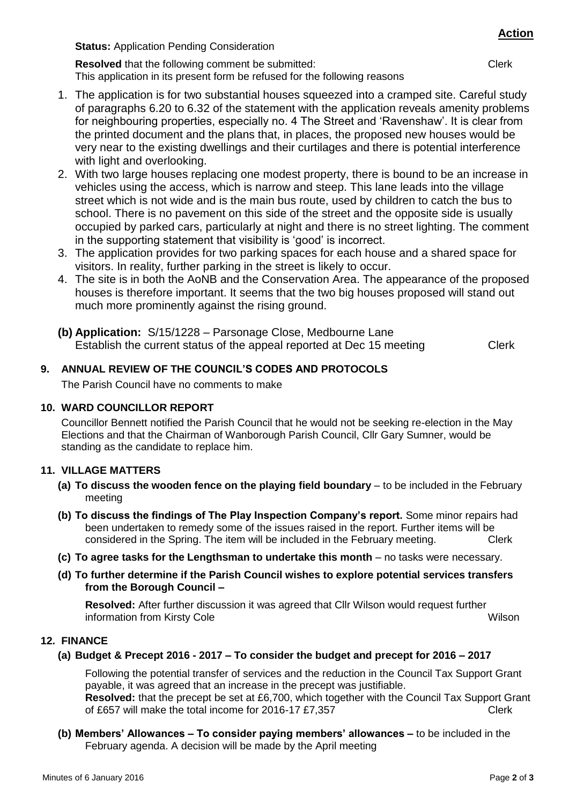**Status:** Application Pending Consideration

**Resolved** that the following comment be submitted: Clerk This application in its present form be refused for the following reasons

- 1. The application is for two substantial houses squeezed into a cramped site. Careful study of paragraphs 6.20 to 6.32 of the statement with the application reveals amenity problems for neighbouring properties, especially no. 4 The Street and 'Ravenshaw'. It is clear from the printed document and the plans that, in places, the proposed new houses would be very near to the existing dwellings and their curtilages and there is potential interference with light and overlooking.
- 2. With two large houses replacing one modest property, there is bound to be an increase in vehicles using the access, which is narrow and steep. This lane leads into the village street which is not wide and is the main bus route, used by children to catch the bus to school. There is no pavement on this side of the street and the opposite side is usually occupied by parked cars, particularly at night and there is no street lighting. The comment in the supporting statement that visibility is 'good' is incorrect.
- 3. The application provides for two parking spaces for each house and a shared space for visitors. In reality, further parking in the street is likely to occur.
- 4. The site is in both the AoNB and the Conservation Area. The appearance of the proposed houses is therefore important. It seems that the two big houses proposed will stand out much more prominently against the rising ground.
- **(b) Application:** S/15/1228 Parsonage Close, Medbourne Lane Establish the current status of the appeal reported at Dec 15 meeting Clerk

# **9. ANNUAL REVIEW OF THE COUNCIL'S CODES AND PROTOCOLS**

The Parish Council have no comments to make

## **10. WARD COUNCILLOR REPORT**

Councillor Bennett notified the Parish Council that he would not be seeking re-election in the May Elections and that the Chairman of Wanborough Parish Council, Cllr Gary Sumner, would be standing as the candidate to replace him.

# **11. VILLAGE MATTERS**

- **(a) To discuss the wooden fence on the playing field boundary** to be included in the February meeting
- **(b) To discuss the findings of The Play Inspection Company's report.** Some minor repairs had been undertaken to remedy some of the issues raised in the report. Further items will be considered in the Spring. The item will be included in the February meeting. Clerk
- **(c) To agree tasks for the Lengthsman to undertake this month** no tasks were necessary.
- **(d) To further determine if the Parish Council wishes to explore potential services transfers from the Borough Council –**

**Resolved:** After further discussion it was agreed that Cllr Wilson would request further information from Kirsty Cole Wilson

## **12. FINANCE**

**(a) Budget & Precept 2016 - 2017 – To consider the budget and precept for 2016 – 2017**

Following the potential transfer of services and the reduction in the Council Tax Support Grant payable, it was agreed that an increase in the precept was justifiable. **Resolved:** that the precept be set at £6,700, which together with the Council Tax Support Grant of £657 will make the total income for 2016-17 £7,357 Clerk

**(b) Members' Allowances – To consider paying members' allowances –** to be included in the February agenda. A decision will be made by the April meeting